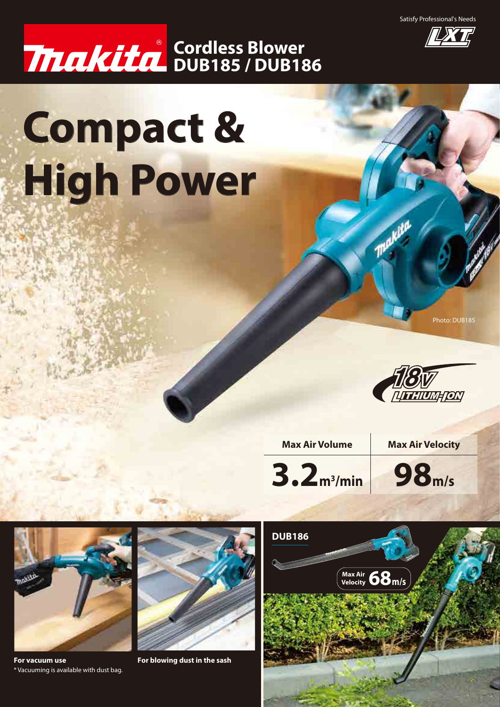Satisfy Professional's Needs



## **DUB185 / DUB186 Cordless Blower**

# **Compact & High Power**

Photo: DUB185



**Makita** 

**Max Air Volume Max Air Velocity**



**98m/s**



**For vacuum use For blowing dust in the sash** \* Vacuuming is available with dust bag.